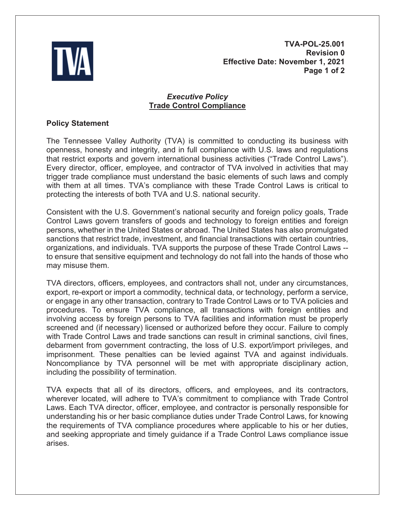

**TVA-POL-25.001 Revision 0 Effective Date: November 1, 2021 Page 1 of 2**

## *Executive Policy* **Trade Control Compliance**

## **Policy Statement**

The Tennessee Valley Authority (TVA) is committed to conducting its business with openness, honesty and integrity, and in full compliance with U.S. laws and regulations that restrict exports and govern international business activities ("Trade Control Laws"). Every director, officer, employee, and contractor of TVA involved in activities that may trigger trade compliance must understand the basic elements of such laws and comply with them at all times. TVA's compliance with these Trade Control Laws is critical to protecting the interests of both TVA and U.S. national security.

Consistent with the U.S. Government's national security and foreign policy goals, Trade Control Laws govern transfers of goods and technology to foreign entities and foreign persons, whether in the United States or abroad. The United States has also promulgated sanctions that restrict trade, investment, and financial transactions with certain countries, organizations, and individuals. TVA supports the purpose of these Trade Control Laws - to ensure that sensitive equipment and technology do not fall into the hands of those who may misuse them.

TVA directors, officers, employees, and contractors shall not, under any circumstances, export, re-export or import a commodity, technical data, or technology, perform a service, or engage in any other transaction, contrary to Trade Control Laws or to TVA policies and procedures. To ensure TVA compliance, all transactions with foreign entities and involving access by foreign persons to TVA facilities and information must be properly screened and (if necessary) licensed or authorized before they occur. Failure to comply with Trade Control Laws and trade sanctions can result in criminal sanctions, civil fines, debarment from government contracting, the loss of U.S. export/import privileges, and imprisonment. These penalties can be levied against TVA and against individuals. Noncompliance by TVA personnel will be met with appropriate disciplinary action, including the possibility of termination.

TVA expects that all of its directors, officers, and employees, and its contractors, wherever located, will adhere to TVA's commitment to compliance with Trade Control Laws. Each TVA director, officer, employee, and contractor is personally responsible for understanding his or her basic compliance duties under Trade Control Laws, for knowing the requirements of TVA compliance procedures where applicable to his or her duties, and seeking appropriate and timely guidance if a Trade Control Laws compliance issue arises.